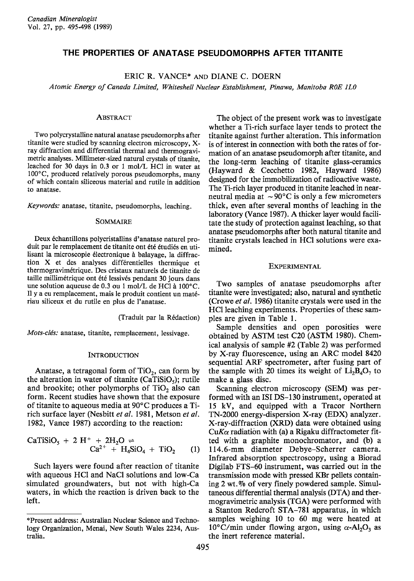# **THE PROPERTIES OF ANATASE PSEUDOMORPHS AFTER TITANITE**

ERIC R. VANCE\* AND DIANE C. DOERN

*Atomic Energy of Canada Limited, Whiteshell Nuclear Establishment, Pinawa, Manitoba ROE lLO*

#### ABSTRACT

Two polycrystalline natural anatase pseudomorphs after titanite were studied by scanning electron microscopy, Xray diffraction and differential thermal and thermogravimetric analyses. Millimeter-sized natural crystals of titanite, leached for 30 days in 0.3 or I mol/L HCI in water at 100°C, produced relatively porous pseudomorphs, many of which contain siliceous material and rutile in addition to anatase.

*Keywords:* anatase, titanite, pseudomorphs, leaching.

#### SOMMAIRE

Deux échantillons polycristallins d'anatase naturel produit par le remplacement de titanite ont été étudiés en utilisant la microscopie electronique a balayage, la diffraction X et des analyses differentielles thermique et thermogravimetrique. Des cristaux naturels de titanite de taille millimétrique ont été lessivés pendant 30 jours dans une solution aqueuse de 0.3 ou I mol/L de HCI a 100°C. II Ya eu remplacement, mais Ie produit contient un materiau siliceux et du rutile en plus de l'anatase.

(Traduit par la Redaction)

*Mots-clés:* anatase, titanite, remplacement, lessivage.

#### **INTRODUCTION**

Anatase, a tetragonal form of  $TiO<sub>2</sub>$ , can form by the alteration in water of titanite (CaTiSiO<sub>5</sub>); rutile and brookite; other polymorphs of  $TiO<sub>2</sub>$  also can form. Recent studies have shown that the exposure of titanite to aqueous media at 90°C produces a Tirich surface layer (Nesbitt *et al.* 1981, Metson *et al.* 1982, Vance 1987) according to the reaction:

$$
CaTiSiO5 + 2 H+ + 2H2O \rightleftharpoons Ca2+ + H4SiO4 + TiO2
$$
 (1)

Such layers were found after reaction of titanite with aqueous HCI and NaCI solutions and low-Ca simulated groundwaters, but not with high-Ca waters, in which the reaction is driven back to the left.

The object of the present work was to investigate whether a Ti-rich surface layer tends to protect the titanite against further alteration. This information is of interest in connection with both the rates of formation of an anatase pseudomorph after titanite, and the long-term leaching of titanite glass-ceramics (Hayward & Cecchetto 1982, Hayward 1986) designed for the immobilization of radioactive waste. The Ti-rich layer produced in titanite leached in nearneutral media at  $\sim 90^{\circ}$ C is only a few micrometers thick, even after several months of leaching in the laboratory (Vance 1987). A thicker layer would facilitate the study of protection against leaching, so that anatase pseudomorphs after both natural titanite and titanite crystals leached in HCI solutions were examined.

#### EXPERIMENTAL

Two samples of anatase pseudomorphs after titanite were investigated; also, natural and synthetic (Crowe *et al.* 1986) titanite crystals were used in the HClleaching experiments. Properties of these samples are given in Table 1.

Sample densities and open porosities were obtained by ASTM test C20 (ASTM 1980). Chemical analysis of sample #2 (Table 2) was performed by X-ray fluorescence, using an ARC model 8420 sequential ARF spectrometer, after fusing part of the sample with 20 times its weight of  $Li_2B_4O_7$  to make a glass disc.

Scanning electron microscopy (SEM) was performed with an ISI DS-130 instrument, operated at 15 kV, and equipped with a Tracor Northern TN-2000 energy-dispersion X-ray (EDX) analyzer. X-ray-diffraction (XRD) data were obtained using  $CuK\alpha$  radiation with (a) a Rigaku diffractometer fitted with a graphite monochromator, and (b) a 114.6-mm diameter Debye-Scherrer camera. Infrared absorption spectroscopy, using a Biorad Digilab FTS-60 instrument, was carried out in the transmission mode with pressed KBr pellets containing 2 wt. % of very finely powdered sample. Simultaneous differential thermal analysis (DTA) and thermogravimetric analysis (TGA) were performed with a Stanton Redcroft STA-781 apparatus, in which samples weighing 10 to 60 mg were heated at  $10^{\circ}$ C/min under flowing argon, using  $\alpha$ -Al<sub>2</sub>O<sub>3</sub> as the inert reference material.

<sup>\*</sup>Present address: Australian Nuclear Science and Technology Organization, Menai, New South Wales 2234, Australia.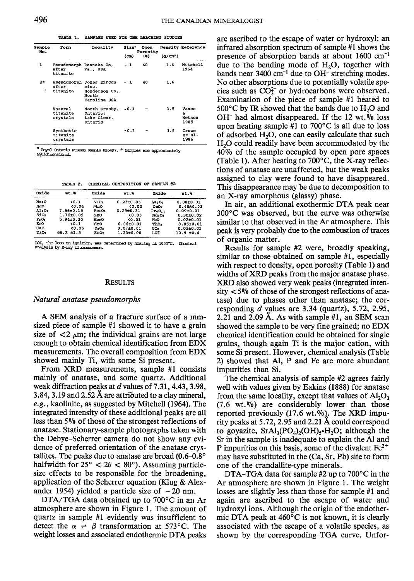TABLE 1. SAMPLES USED FOR THE LEACHING STUDIES

| Sample<br>No. | Form                                         | Locality                                                                     | Size <sup>*</sup> | Open<br>Porosity |                      | Density Reference            |
|---------------|----------------------------------------------|------------------------------------------------------------------------------|-------------------|------------------|----------------------|------------------------------|
|               |                                              |                                                                              | (m)               | (3)              | (a/cm <sup>3</sup> ) |                              |
| $\mathbf{1}$  | Pseudomorph Roanoke Co.<br>after<br>titanite | Va USA                                                                       | - 1               | 40               | 1.6                  | Mitchell<br>1964             |
| $2*$<br>٠     | after<br>titanite                            | Pseudomorph Jones zircon<br>mine.<br>Henderson Co.,<br>North<br>Carolina USA | - 1               | 40               | 1.6                  |                              |
|               | Natural<br>titanite<br>crystals              | North Crosby,<br>Ontario:<br>Lake Clear.<br>Ontario                          | $-0.1$            |                  | 3.5                  | Vance<br>£<br>Metson<br>1985 |
|               | Synthetic<br>titanite<br>crystals            |                                                                              | $-0.1$            |                  | 3.5                  | Crowe<br>et al.<br>1986      |

\* Royal Ontario Museum sample M16497. + Samples are approximately faminaminine

TABLE 2. CHEMICAL COMPOSITION OF SAMPLE #2

| Oxide             | $wt.$ %         | Oxide             | $wt.$ %         | Oxide                           | wt.             |
|-------------------|-----------------|-------------------|-----------------|---------------------------------|-----------------|
| Na2O              | (0.1            | $V_2O_n$          | $0.23 \pm 0.03$ | LasOs                           | $0.08 + 0.01$   |
| MgO               | ${0.04}$        | MnO               | 0.02            | CaO <sub>2</sub>                | $0.46 + 0.03$   |
| AlsO <sub>2</sub> | 7.56±0.15       | Fe2O2             | $6.29 \pm 0.31$ | Pr <sub>6</sub> O <sub>11</sub> | $0.09 + 0.01$   |
| SiO2              | $1.76 \pm 0.09$ | ZnO               | 0.03            | Nds Os                          | $0.30 \pm 0.02$ |
| $P = On$          | $5.94{\pm}0.30$ | Rb <sub>2</sub> O | 50.01           | PbO                             | $0.02 + 0.01$   |
| K2O               | 30.1            | $_{\rm src}$      | $0.06 + 0.01$   | ThO <sub>2</sub>                | $0.05 + 0.01$   |
| CaO               | 0.05            | Y2O2              | $0.07 + 0.01$   | UO.                             | $0.03 + 0.01$   |
| TiO <sub>2</sub>  | $66.2 + 1.3$    | ZrO2              | $1.23 + 0.06$   | LOI                             | $10.9 + 0.4$    |

IOI, the loss on ignition, was determined by heating at 1000°C. Chemical analysis by X-ray fluorescence

#### **RESULTS**

### Natural anatase pseudomorphs

A SEM analysis of a fracture surface of a mmsized piece of sample #1 showed it to have a grain size of  $\langle 2 \mu m$ ; the individual grains are not large enough to obtain chemical identification from EDX measurements. The overall composition from EDX showed mainly Ti, with some Si present.

From XRD measurements, sample #1 consists mainly of anatase, and some quartz. Additional weak diffraction peaks at  $d$  values of 7.31, 4.43, 3.98, 3.84, 3.19 and 2.52 Å are attributed to a clay mineral, e.g., kaolinite, as suggested by Mitchell (1964). The integrated intensity of these additional peaks are all less than 5% of those of the strongest reflections of anatase. Stationary-sample photographs taken with the Debye-Scherrer camera do not show any evidence of preferred orientation of the anatase crystallites. The peaks due to anatase are broad (0.6-0.8° halfwidth for  $25^{\circ} < 2\theta < 80^{\circ}$ ). Assuming particlesize effects to be responsible for the broadening, application of the Scherrer equation (Klug & Alexander 1954) yielded a particle size of  $\sim$  20 nm.

DTA/TGA data obtained up to  $700^{\circ}$ C in an Ar atmosphere are shown in Figure 1. The amount of quartz in sample #1 evidently was insufficient to detect the  $\alpha \neq \beta$  transformation at 573°C. The weight losses and associated endothermic DTA peaks are ascribed to the escape of water or hydroxyl: an infrared absorption spectrum of sample #1 shows the presence of absorption bands at about  $1600 \text{ cm}^{-1}$ due to the bending mode of  $H_2O$ , together with bands near 3400 cm<sup>-1</sup> due to OH<sup>-</sup> stretching modes. No other absorptions due to potentially volatile species such as  $CO_3^{2-}$  or hydrocarbons were observed. Examination of the piece of sample #1 heated to  $500^{\circ}$ C by IR showed that the bands due to H<sub>2</sub>O and OH<sup>-</sup> had almost disappeared. If the 12 wt.% loss upon heating sample #1 to  $700^{\circ}$ C is all due to loss of adsorbed H<sub>2</sub>O, one can easily calculate that such  $H<sub>2</sub>O$  could readily have been accommodated by the 40% of the sample occupied by open pore spaces (Table 1). After heating to  $700^{\circ}$ C, the X-ray reflections of anatase are unaffected, but the weak peaks assigned to clay were found to have disappeared. This disappearance may be due to decomposition to an X-ray amorphous (glassy) phase.

In air, an additional exothermic DTA peak near  $300^{\circ}$ C was observed, but the curve was otherwise similar to that observed in the Ar atmosphere. This peak is very probably due to the combustion of traces of organic matter.

Results for sample #2 were, broadly speaking, similar to those obtained on sample #1, especially with respect to density, open porosity (Table 1) and widths of XRD peaks from the major anatase phase. XRD also showed very weak peaks (integrated intensity  $\langle 5\% \rangle$  of those of the strongest reflections of anatase) due to phases other than anatase; the corresponding  $d$  values are 3.34 (quartz), 5.72, 2.95, 2.21 and 2.09 Å. As with sample  $#1$ , an SEM scan showed the sample to be very fine grained; no EDX chemical identification could be obtained for single grains, though again Ti is the major cation, with some Si present. However, chemical analysis (Table 2) showed that Al, P and Fe are more abundant impurities than Si.

The chemical analysis of sample #2 agrees fairly well with values given by Eakins (1888) for anatase from the same locality, except that values of  $Al_2O_3$  $(7.6 \text{ wt.}\%)$  are considerably lower than those reported previously (17.6 wt.%). The XRD impurity peaks at 5.72, 2.95 and 2.21 Å could correspond to goyazite,  $SrAl<sub>3</sub>(PO<sub>4</sub>)<sub>2</sub>(OH)<sub>5</sub>·H<sub>2</sub>O$ ; although the Sr in the sample is inadequate to explain the Al and P impurities on this basis, some of the divalent  $Fe^{2+}$ may have substituted in the (Ca, Sr, Pb) site to form one of the crandallite-type minerals.

DTA-TGA data for sample #2 up to 700°C in the Ar atmosphere are shown in Figure 1. The weight losses are slightly less than those for sample #1 and again are ascribed to the escape of water and hydroxyl ions. Although the origin of the endothermic DTA peak at 460°C is not known, it is clearly associated with the escape of a volatile species, as shown by the corresponding TGA curve. Unfor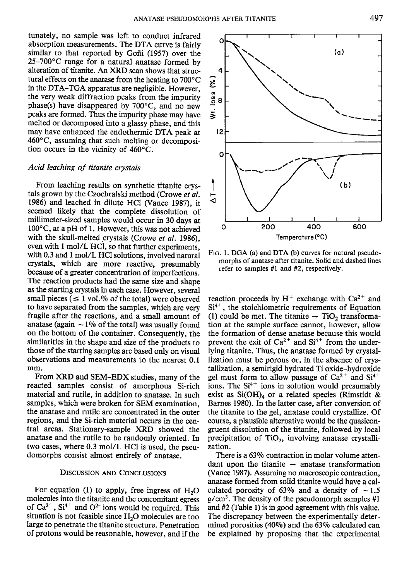tunately, no sample was left to conduct infrared absorption measurements. The DTA curve is fairly similar to that reported by Goñi (1957) over the 25-700°C range for a natural anatase formed by alteration of titanite. An XRD scan shows that structural effects on the anatase from the heating to 700°C  $\frac{1}{\infty}$  in the DTA-TGA apparatus are negligible. However, the very weak diffraction peaks from the impurity  $\frac{1}{\infty}$  and no new peaks are formed. Thus the impu **in the DTA- TGA apparatus are negligible. However,** ~ the very weak diffraction peaks from the impurity phase(s) have disappeared by 700°C, and no new peaks are formed. Thus the impurity phase may have melted or decomposed into a glassy phase, and this may have enhanced the endothermic DTA peak at 460°C, assuming that such melting or decomposition occurs in the vicinity of 460°C.

## *Acid leaching of titanite crystals*

From leaching results on synthetic titanite crystals grown by the Czochralski method (Crowe *et al.* 1986) and leached in dilute HCI (Vance 1987), it seemed likely that the complete dissolution of millimeter-sized samples would occur in 30 days at 100°C, at a pH of 1. However, this was not achieved with the skull-melted crystals (Crowe *et al.* 1986), even with 1 mol/L HCl, so that further experiments. with 0.3 and 1 mol/L HCI solutions, involved natural crystals, which are more reactive, presumably because of a greater concentration of imperfections. The reaction products had the same size and shape as the starting crystals in each case. However, several small pieces ( $\leq 1$  vol.<sup> $\%$ </sup> of the total) were observed to have separated from the samples, which are very fragile after the reactions, and a small amount of anatase (again  $\sim$  1% of the total) was usually found on the bottom of the container. Consequently, the similarities in the shape and size of the products to those of the starting samples are based only on visual observations and measurements to the nearest 0.1 mm.

From XRD and SEM-EDX studies, many of the reacted samples consist of amorphous Si-rich material and rutile, in addition to anatase. In such samples, which were broken for SEM examination, the anatase and rutile are concentrated in the outer regions, and the Si-rich material occurs in the central areas. Stationary-sample XRD showed the anatase and the rutile to be randomly oriented. In two cases, where 0.3 mol/L HCI is used, the pseudomorphs consist almost entirely of anatase.

#### DISCUSSION AND CONCLUSIONS

For equation (1) to apply, free ingress of  $H<sub>2</sub>O$ molecules into the titanite and the concomitant egress of  $Ca^{2+}$ ,  $Si^{4+}$  and  $O^{2-}$  ions would be required. This situation is not feasible since  $H_2O$  molecules are too large to penetrate the titanite structure. Penetration of protons would be reasonable, however, and if the

FIG. 1. DGA (a) and DTA (b) curves for natural pseudomorphs of anatase after titanite. Solid and dashed lines refer to samples #1 and #2, respectively.

reaction proceeds by  $H^+$  exchange with  $Ca^{2+}$  and Si<sup>4+</sup>, the stoichiometric requirements of Equation<br>(1) could be met. The titanite  $\rightarrow$  TiO<sub>2</sub> transformation at the sample surface cannot, however, allow the formation of dense anatase because this would prevent the exit of  $Ca^{2+}$  and  $Si^{4+}$  from the underlying titanite. Thus, the anatase formed by crystallization must be porous or, in the absence of crystallization, a semirigid hydrated Ti oxide-hydroxide gel must form to allow passage of  $Ca^{2+}$  and  $Si^{4+}$ ions. The  $Si<sup>4+</sup>$  ions in solution would presumably exist as  $Si(OH)<sub>4</sub>$  or a related species (Rimstidt & Barnes 1980). In the latter case, after conversion of the titanite to the gel, anatase could crystallize. Of course, a plausible alternative would be the quasicongruent dissolution of the titanite, followed by local precipitation of  $TiO<sub>2</sub>$ , involving anatase crystallization.

There is a 63% contraction in molar volume attendant upon the titanite  $\rightarrow$  anatase transformation (Vance 1987). Assuming no macroscopic contraction, anatase formed from solid titanite would have a calculated porosity of 63% and a density of  $\sim$  1.5  $g/cm<sup>3</sup>$ . The density of the pseudomorph samples #1 and  $#2$  (Table 1) is in good agreement with this value. The discrepancy between the experimentally determined porosities (40%) and the 63% calculated can be explained by proposing that the experimental